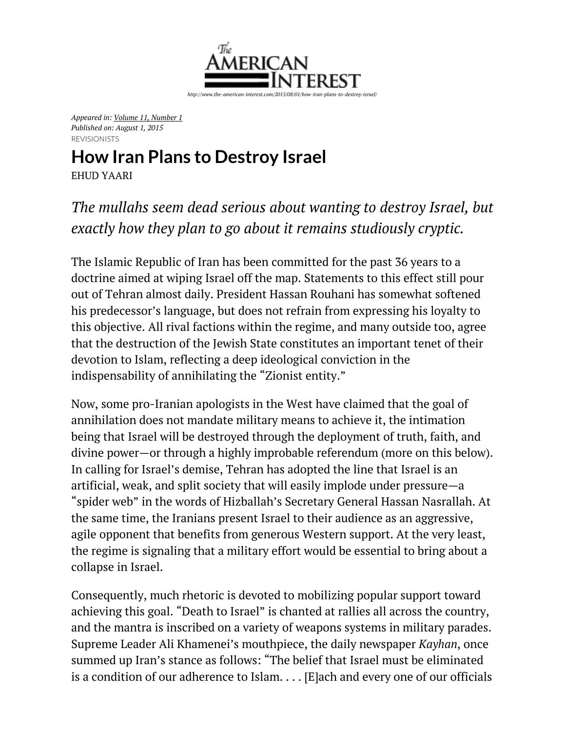

*Appeared in: Volume 11, [Number](http://www.the-american-interest.com/back-issue-toc/?i=4802) 1 Published on: August 1, 2015* **REVISIONISTS** 

## How Iran Plans to Destroy Israel

EHUD [YAARI](http://www.the-american-interest.com/byline/ehud-yaari/)

## *The mullahs seem dead serious about wanting to destroy Israel, but exactly how they plan to go about it remains studiously cryptic.*

[T](https://disqus.com/home/forums/americaninterest/)he Islamic Republic of Iran has been committed for the past 36 years to a doctrine aimed at wiping Israel off the map. Statements to this effect still pour out of Tehran almost daily. President Hassan Rouhani has somewhat softened his predecessor's language, but does not refrain from expressing his loyalty to this objective. All rival factions within the regime, and many outside too, agree that the destruction of the Jewish State constitutes an important tenet of their devotion to Islam, reflecting a deep ideological conviction in the indispensability of annihilating the "Zionist entity."

Now, some pro-Iranian apologists in the West have claimed that the goal of annihilation does not mandate military means to achieve it, the intimation being that Israel will be destroyed through the deployment of truth, faith, and divine power—or through a highly improbable referendum (more on this below). In calling for Israel's demise, Tehran has adopted the line that Israel is an artificial, weak, and split society that will easily implode under pressure—a "spider web" in the words of Hizballah's Secretary General Hassan Nasrallah. At the same time, the Iranians present Israel to their audience as an aggressive, agile opponent that benefits from generous Western support. At the very least, the regime is signaling that a military effort would be essential to bring about a collapse in Israel.

Consequently, much rhetoric is devoted to mobilizing popular support toward achieving this goal. "Death to Israel" is chanted at rallies all across the country, and the mantra is inscribed on a variety of weapons systems in military parades. Supreme Leader Ali Khamenei's mouthpiece, the daily newspaper *Kayhan*, once summed up Iran's stance as follows: "The belief that Israel must be eliminated is a condition of our adherence to Islam. . . . [E]ach and every one of our officials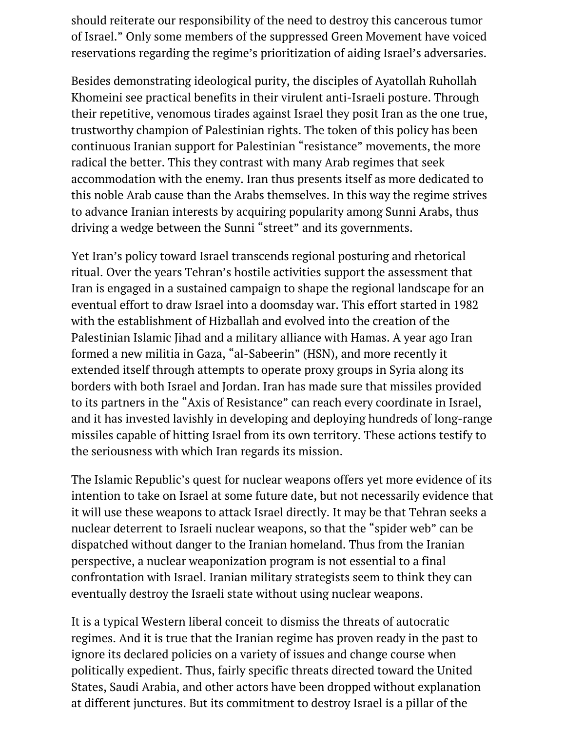should reiterate our responsibility of the need to destroy this cancerous tumor of Israel." Only some members of the suppressed Green Movement have voiced reservations regarding the regime's prioritization of aiding Israel's adversaries.

Besides demonstrating ideological purity, the disciples of Ayatollah Ruhollah Khomeini see practical benefits in their virulent anti-Israeli posture. Through their repetitive, venomous tirades against Israel they posit Iran as the one true, trustworthy champion of Palestinian rights. The token of this policy has been continuous Iranian support for Palestinian "resistance" movements, the more radical the better. This they contrast with many Arab regimes that seek accommodation with the enemy. Iran thus presents itself as more dedicated to this noble Arab cause than the Arabs themselves. In this way the regime strives to advance Iranian interests by acquiring popularity among Sunni Arabs, thus driving a wedge between the Sunni "street" and its governments.

Yet Iran's policy toward Israel transcends regional posturing and rhetorical ritual. Over the years Tehran's hostile activities support the assessment that Iran is engaged in a sustained campaign to shape the regional landscape for an eventual effort to draw Israel into a doomsday war. This effort started in 1982 with the establishment of Hizballah and evolved into the creation of the Palestinian Islamic Jihad and a military alliance with Hamas. A year ago Iran formed a new militia in Gaza, "al-Sabeerin" (HSN), and more recently it extended itself through attempts to operate proxy groups in Syria along its [b](https://disqus.com/)orders with both Israel and Jordan. Iran has made sure that missiles provided to its partners in the "Axis of Resistance" can reach every coordinate in Israel, and it has invested lavishly in developing and deploying hundreds of long-range missiles capable of hitting Israel from its own territory. These actions testify to the seriousness with which Iran regards its mission.

The Islamic Republic's quest for nuclear weapons offers yet more evidence of its intention to take on Israel at some future date, but not necessarily evidence that it will use these weapons to attack Israel directly. It may be that Tehran seeks a nuclear deterrent to Israeli nuclear weapons, so that the "spider web" can be dispatched without danger to the Iranian homeland. Thus from the Iranian perspective, a nuclear weaponization program is not essential to a final confrontation with Israel. Iranian military strategists seem to think they can eventually destroy the Israeli state without using nuclear weapons.

It is a typical Western liberal conceit to dismiss the threats of autocratic regimes. And it is true that the Iranian regime has proven ready in the past to ignore its declared policies on a variety of issues and change course when politically expedient. Thus, fairly specific threats directed toward the United States, Saudi Arabia, and other actors have been dropped without explanation at different junctures. But its commitment to destroy Israel is a pillar of the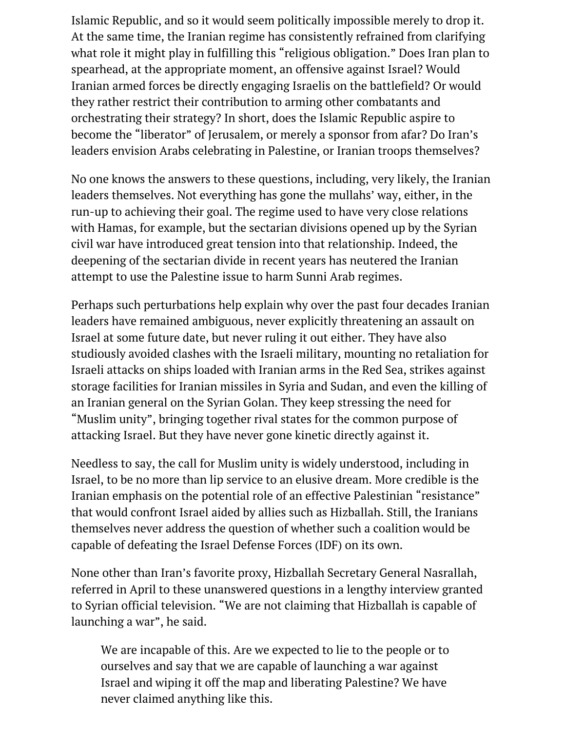Islamic Republic, and so it would seem politically impossible merely to drop it. At the same time, the Iranian regime has consistently refrained from clarifying what role it might play in fulfilling this "religious obligation." Does Iran plan to spearhead, at the appropriate moment, an offensive against Israel? Would Iranian armed forces be directly engaging Israelis on the battlefield? Or would they rather restrict their contribution to arming other combatants and orchestrating their strategy? In short, does the Islamic Republic aspire to become the "liberator" of Jerusalem, or merely a sponsor from afar? Do Iran's leaders envision Arabs celebrating in Palestine, or Iranian troops themselves?

No one knows the answers to these questions, including, very likely, the Iranian leaders themselves. Not everything has gone the mullahs' way, either, in the run-up to achieving their goal. The regime used to have very close relations with Hamas, for example, but the sectarian divisions opened up by the Syrian civil war have introduced great tension into that relationship. Indeed, the deepening of the sectarian divide in recent years has neutered the Iranian attempt to use the Palestine issue to harm Sunni Arab regimes.

Perhaps such perturbations help explain why over the past four decades Iranian leaders have remained ambiguous, never explicitly threatening an assault on Israel at some future date, but never ruling it out either. They have also studiously avoided clashes with the Israeli military, mounting no retaliation for Israeli attacks on ships loaded with Iranian arms in the Red Sea, strikes against storage facilities for Iranian missiles in Syria and Sudan, and even the killing of an Iranian general on the Syrian Golan. They keep stressing the need for "Muslim unity", bringing together rival states for the common purpose of attacking Israel. But they have never gone kinetic directly against it.

Needless to say, the call for Muslim unity is widely understood, including in Israel, to be no more than lip service to an elusive dream. More credible is the Iranian emphasis on the potential role of an effective Palestinian "resistance" that would confront Israel aided by allies such as Hizballah. Still, the Iranians themselves never address the question of whether such a coalition would be capable of defeating the Israel Defense Forces (IDF) on its own.

None other than Iran's favorite proxy, Hizballah Secretary General Nasrallah, referred in April to these unanswered questions in a lengthy interview granted to Syrian official television. "We are not claiming that Hizballah is capable of launching a war", he said.

We are incapable of this. Are we expected to lie to the people or to ourselves and say that we are capable of launching a war against Israel and wiping it off the map and liberating Palestine? We have never claimed anything like this.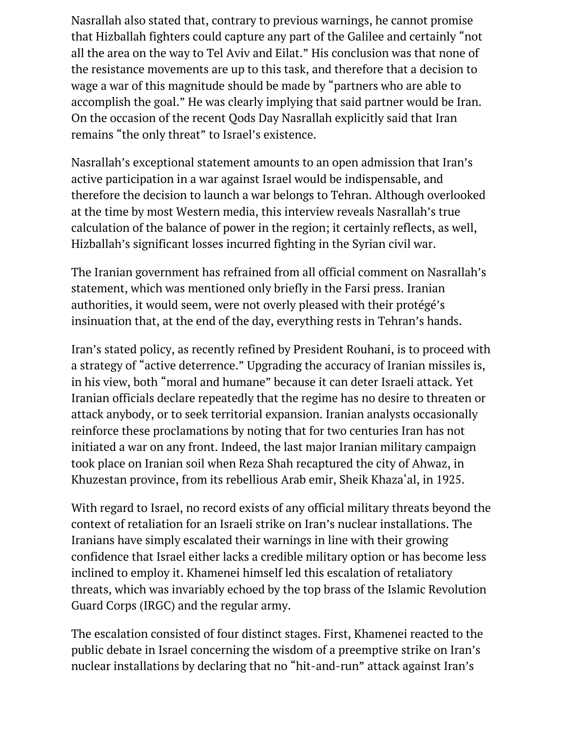Nasrallah also stated that, contrary to previous warnings, he cannot promise that Hizballah fighters could capture any part of the Galilee and certainly "not all the area on the way to Tel Aviv and Eilat." His conclusion was that none of the resistance movements are up to this task, and therefore that a decision to wage a war of this magnitude should be made by "partners who are able to accomplish the goal." He was clearly implying that said partner would be Iran. On the occasion of the recent Qods Day Nasrallah explicitly said that Iran remains "the only threat" to Israel's existence.

Nasrallah's exceptional statement amounts to an open admission that Iran's active participation in a war against Israel would be indispensable, and therefore the decision to launch a war belongs to Tehran. Although overlooked at the time by most Western media, this interview reveals Nasrallah's true calculation of the balance of power in the region; it certainly reflects, as well, Hizballah's significant losses incurred fighting in the Syrian civil war.

The Iranian government has refrained from all official comment on Nasrallah's statement, which was mentioned only briefly in the Farsi press. Iranian authorities, it would seem, were not overly pleased with their protégé's insinuation that, at the end of the day, everything rests in Tehran's hands.

Iran's stated policy, as recently refined by President Rouhani, is to proceed with a strategy of "active deterrence." Upgrading the accuracy of Iranian missiles is, in his view, both "moral and humane" because it can deter Israeli attack. Yet Iranian officials declare repeatedly that the regime has no desire to threaten or attack anybody, or to seek territorial expansion. Iranian analysts occasionally reinforce these proclamations by noting that for two centuries Iran has not initiated a war on any front. Indeed, the last major Iranian military campaign took place on Iranian soil when Reza Shah recaptured the city of Ahwaz, in Khuzestan province, from its rebellious Arab emir, Sheik Khaza'al, in 1925.

With regard to Israel, no record exists of any official military threats beyond the context of retaliation for an Israeli strike on Iran's nuclear installations. The Iranians have simply escalated their warnings in line with their growing confidence that Israel either lacks a credible military option or has become less inclined to employ it. Khamenei himself led this escalation of retaliatory threats, which was invariably echoed by the top brass of the Islamic Revolution Guard Corps (IRGC) and the regular army.

The escalation consisted of four distinct stages. First, Khamenei reacted to the public debate in Israel concerning the wisdom of a preemptive strike on Iran's nuclear installations by declaring that no "hit-and-run" attack against Iran's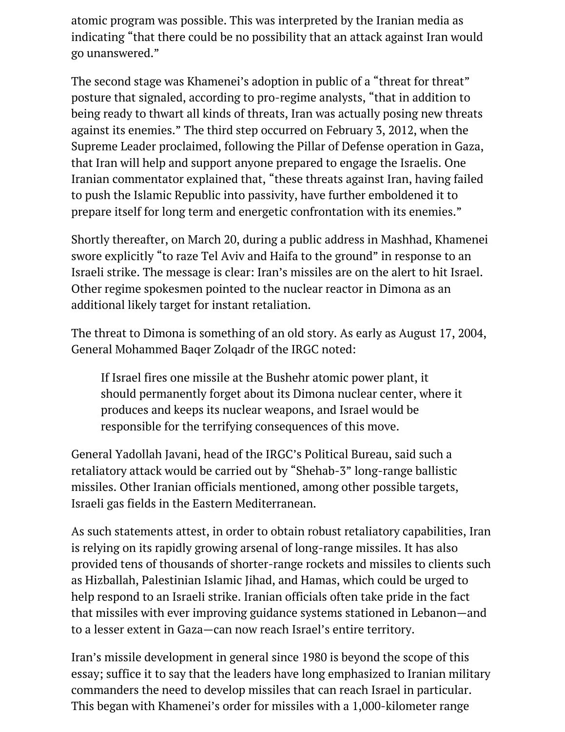atomic program was possible. This was interpreted by the Iranian media as indicating "that there could be no possibility that an attack against Iran would go unanswered."

The second stage was Khamenei's adoption in public of a "threat for threat" posture that signaled, according to pro-regime analysts, "that in addition to being ready to thwart all kinds of threats, Iran was actually posing new threats against its enemies." The third step occurred on February 3, 2012, when the Supreme Leader proclaimed, following the Pillar of Defense operation in Gaza, that Iran will help and support anyone prepared to engage the Israelis. One Iranian commentator explained that, "these threats against Iran, having failed to push the Islamic Republic into passivity, have further emboldened it to prepare itself for long term and energetic confrontation with its enemies."

Shortly thereafter, on March 20, during a public address in Mashhad, Khamenei swore explicitly "to raze Tel Aviv and Haifa to the ground" in response to an Israeli strike. The message is clear: Iran's missiles are on the alert to hit Israel. Other regime spokesmen pointed to the nuclear reactor in Dimona as an additional likely target for instant retaliation.

The threat to Dimona is something of an old story. As early as August 17, 2004, General Mohammed Baqer Zolqadr of the IRGC noted:

If Israel fires one missile at the Bushehr atomic power plant, it should permanently forget about its Dimona nuclear center, where it produces and keeps its nuclear weapons, and Israel would be responsible for the terrifying consequences of this move.

General Yadollah Javani, head of the IRGC's Political Bureau, said such a retaliatory attack would be carried out by "Shehab-3" long-range ballistic missiles. Other Iranian officials mentioned, among other possible targets, Israeli gas fields in the Eastern Mediterranean.

As such statements attest, in order to obtain robust retaliatory capabilities, Iran is relying on its rapidly growing arsenal of long-range missiles. It has also provided tens of thousands of shorter-range rockets and missiles to clients such as Hizballah, Palestinian Islamic Jihad, and Hamas, which could be urged to help respond to an Israeli strike. Iranian officials often take pride in the fact that missiles with ever improving guidance systems stationed in Lebanon—and to a lesser extent in Gaza—can now reach Israel's entire territory.

Iran's missile development in general since 1980 is beyond the scope of this essay; suffice it to say that the leaders have long emphasized to Iranian military commanders the need to develop missiles that can reach Israel in particular. This began with Khamenei's order for missiles with a 1,000-kilometer range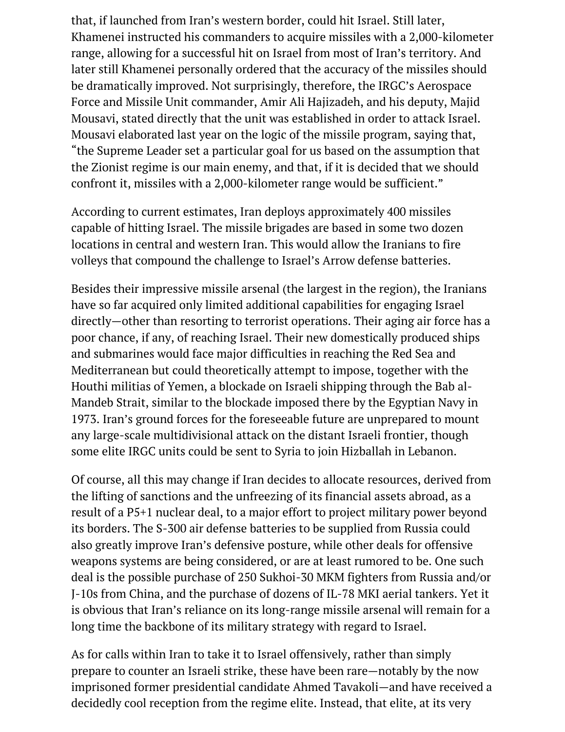that, if launched from Iran's western border, could hit Israel. Still later, Khamenei instructed his commanders to acquire missiles with a 2,000-kilometer range, allowing for a successful hit on Israel from most of Iran's territory. And later still Khamenei personally ordered that the accuracy of the missiles should be dramatically improved. Not surprisingly, therefore, the IRGC's Aerospace Force and Missile Unit commander, Amir Ali Hajizadeh, and his deputy, Majid Mousavi, stated directly that the unit was established in order to attack Israel. Mousavi elaborated last year on the logic of the missile program, saying that, "the Supreme Leader set a particular goal for us based on the assumption that the Zionist regime is our main enemy, and that, if it is decided that we should confront it, missiles with a 2,000-kilometer range would be sufficient."

According to current estimates, Iran deploys approximately 400 missiles capable of hitting Israel. The missile brigades are based in some two dozen locations in central and western Iran. This would allow the Iranians to fire volleys that compound the challenge to Israel's Arrow defense batteries.

Besides their impressive missile arsenal (the largest in the region), the Iranians have so far acquired only limited additional capabilities for engaging Israel directly—other than resorting to terrorist operations. Their aging air force has a poor chance, if any, of reaching Israel. Their new domestically produced ships and submarines would face major difficulties in reaching the Red Sea and Mediterranean but could theoretically attempt to impose, together with the Houthi militias of Yemen, a blockade on Israeli shipping through the Bab al-Mandeb Strait, similar to the blockade imposed there by the Egyptian Navy in 1973. Iran's ground forces for the foreseeable future are unprepared to mount any large-scale multidivisional attack on the distant Israeli frontier, though some elite IRGC units could be sent to Syria to join Hizballah in Lebanon.

Of course, all this may change if Iran decides to allocate resources, derived from the lifting of sanctions and the unfreezing of its financial assets abroad, as a result of a P5+1 nuclear deal, to a major effort to project military power beyond its borders. The S-300 air defense batteries to be supplied from Russia could also greatly improve Iran's defensive posture, while other deals for offensive weapons systems are being considered, or are at least rumored to be. One such deal is the possible purchase of 250 Sukhoi-30 MKM fighters from Russia and/or J-10s from China, and the purchase of dozens of IL-78 MKI aerial tankers. Yet it is obvious that Iran's reliance on its long-range missile arsenal will remain for a long time the backbone of its military strategy with regard to Israel.

As for calls within Iran to take it to Israel offensively, rather than simply prepare to counter an Israeli strike, these have been rare—notably by the now imprisoned former presidential candidate Ahmed Tavakoli—and have received a decidedly cool reception from the regime elite. Instead, that elite, at its very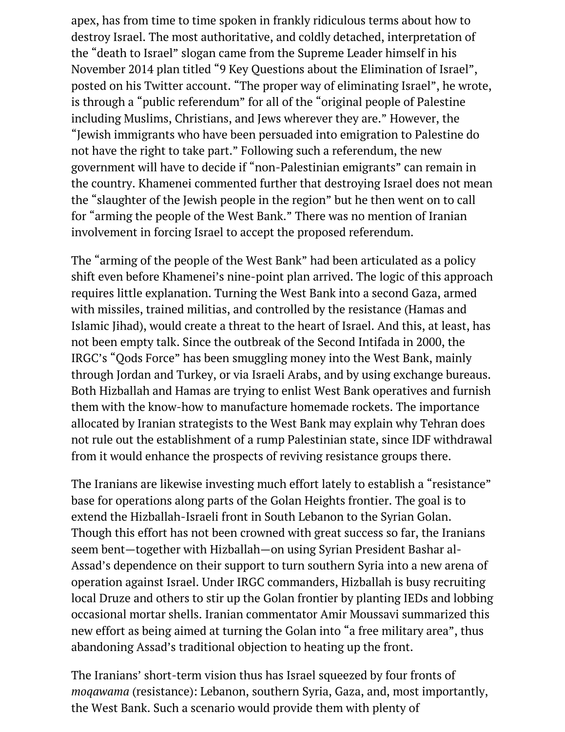apex, has from time to time spoken in frankly ridiculous terms about how to destroy Israel. The most authoritative, and coldly detached, interpretation of the "death to Israel" slogan came from the Supreme Leader himself in his November 2014 plan titled "9 Key Questions about the Elimination of Israel", posted on his Twitter account. "The proper way of eliminating Israel", he wrote, is through a "public referendum" for all of the "original people of Palestine including Muslims, Christians, and Jews wherever they are." However, the "Jewish immigrants who have been persuaded into emigration to Palestine do not have the right to take part." Following such a referendum, the new government will have to decide if "non-Palestinian emigrants" can remain in the country. Khamenei commented further that destroying Israel does not mean the "slaughter of the Jewish people in the region" but he then went on to call for "arming the people of the West Bank." There was no mention of Iranian involvement in forcing Israel to accept the proposed referendum.

The "arming of the people of the West Bank" had been articulated as a policy shift even before Khamenei's nine-point plan arrived. The logic of this approach requires little explanation. Turning the West Bank into a second Gaza, armed with missiles, trained militias, and controlled by the resistance (Hamas and Islamic Jihad), would create a threat to the heart of Israel. And this, at least, has not been empty talk. Since the outbreak of the Second Intifada in 2000, the IRGC's "Qods Force" has been smuggling money into the West Bank, mainly through Jordan and Turkey, or via Israeli Arabs, and by using exchange bureaus. Both Hizballah and Hamas are trying to enlist West Bank operatives and furnish them with the know-how to manufacture homemade rockets. The importance allocated by Iranian strategists to the West Bank may explain why Tehran does not rule out the establishment of a rump Palestinian state, since IDF withdrawal from it would enhance the prospects of reviving resistance groups there.

The Iranians are likewise investing much effort lately to establish a "resistance" base for operations along parts of the Golan Heights frontier. The goal is to extend the Hizballah-Israeli front in South Lebanon to the Syrian Golan. Though this effort has not been crowned with great success so far, the Iranians seem bent—together with Hizballah—on using Syrian President Bashar al-Assad's dependence on their support to turn southern Syria into a new arena of operation against Israel. Under IRGC commanders, Hizballah is busy recruiting local Druze and others to stir up the Golan frontier by planting IEDs and lobbing occasional mortar shells. Iranian commentator Amir Moussavi summarized this new effort as being aimed at turning the Golan into "a free military area", thus abandoning Assad's traditional objection to heating up the front.

The Iranians' short-term vision thus has Israel squeezed by four fronts of *moqawama* (resistance): Lebanon, southern Syria, Gaza, and, most importantly, the West Bank. Such a scenario would provide them with plenty of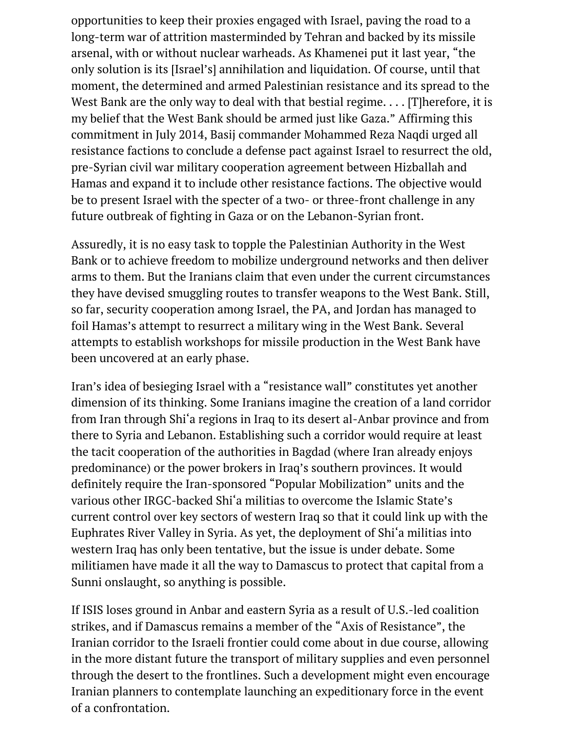opportunities to keep their proxies engaged with Israel, paving the road to a long-term war of attrition masterminded by Tehran and backed by its missile arsenal, with or without nuclear warheads. As Khamenei put it last year, "the only solution is its [Israel's] annihilation and liquidation. Of course, until that moment, the determined and armed Palestinian resistance and its spread to the West Bank are the only way to deal with that bestial regime.... [T]herefore, it is my belief that the West Bank should be armed just like Gaza." Affirming this commitment in July 2014, Basij commander Mohammed Reza Naqdi urged all resistance factions to conclude a defense pact against Israel to resurrect the old, pre-Syrian civil war military cooperation agreement between Hizballah and Hamas and expand it to include other resistance factions. The objective would be to present Israel with the specter of a two- or three-front challenge in any future outbreak of fighting in Gaza or on the Lebanon-Syrian front.

Assuredly, it is no easy task to topple the Palestinian Authority in the West Bank or to achieve freedom to mobilize underground networks and then deliver arms to them. But the Iranians claim that even under the current circumstances they have devised smuggling routes to transfer weapons to the West Bank. Still, so far, security cooperation among Israel, the PA, and Jordan has managed to foil Hamas's attempt to resurrect a military wing in the West Bank. Several attempts to establish workshops for missile production in the West Bank have been uncovered at an early phase.

Iran's idea of besieging Israel with a "resistance wall" constitutes yet another dimension of its thinking. Some Iranians imagine the creation of a land corridor from Iran through Shi'a regions in Iraq to its desert al-Anbar province and from there to Syria and Lebanon. Establishing such a corridor would require at least the tacit cooperation of the authorities in Bagdad (where Iran already enjoys predominance) or the power brokers in Iraq's southern provinces. It would definitely require the Iran-sponsored "Popular Mobilization" units and the various other IRGC-backed Shi'a militias to overcome the Islamic State's current control over key sectors of western Iraq so that it could link up with the Euphrates River Valley in Syria. As yet, the deployment of Shi'a militias into western Iraq has only been tentative, but the issue is under debate. Some militiamen have made it all the way to Damascus to protect that capital from a Sunni onslaught, so anything is possible.

If ISIS loses ground in Anbar and eastern Syria as a result of U.S.-led coalition strikes, and if Damascus remains a member of the "Axis of Resistance", the Iranian corridor to the Israeli frontier could come about in due course, allowing in the more distant future the transport of military supplies and even personnel through the desert to the frontlines. Such a development might even encourage Iranian planners to contemplate launching an expeditionary force in the event of a confrontation.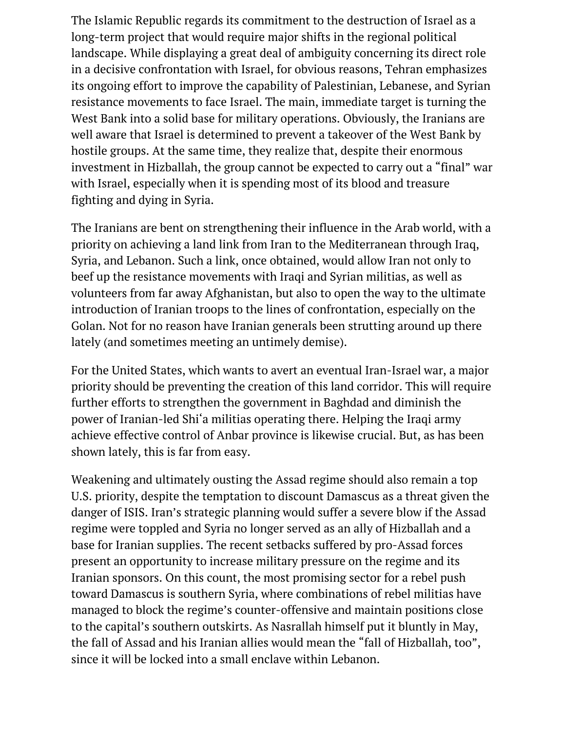The Islamic Republic regards its commitment to the destruction of Israel as a long-term project that would require major shifts in the regional political landscape. While displaying a great deal of ambiguity concerning its direct role in a decisive confrontation with Israel, for obvious reasons, Tehran emphasizes its ongoing effort to improve the capability of Palestinian, Lebanese, and Syrian resistance movements to face Israel. The main, immediate target is turning the West Bank into a solid base for military operations. Obviously, the Iranians are well aware that Israel is determined to prevent a takeover of the West Bank by hostile groups. At the same time, they realize that, despite their enormous investment in Hizballah, the group cannot be expected to carry out a "final" war with Israel, especially when it is spending most of its blood and treasure fighting and dying in Syria.

The Iranians are bent on strengthening their influence in the Arab world, with a priority on achieving a land link from Iran to the Mediterranean through Iraq, Syria, and Lebanon. Such a link, once obtained, would allow Iran not only to beef up the resistance movements with Iraqi and Syrian militias, as well as volunteers from far away Afghanistan, but also to open the way to the ultimate introduction of Iranian troops to the lines of confrontation, especially on the Golan. Not for no reason have Iranian generals been strutting around up there lately (and sometimes meeting an untimely demise).

For the United States, which wants to avert an eventual Iran-Israel war, a major priority should be preventing the creation of this land corridor. This will require further efforts to strengthen the government in Baghdad and diminish the power of Iranian-led Shi'a militias operating there. Helping the Iraqi army achieve effective control of Anbar province is likewise crucial. But, as has been shown lately, this is far from easy.

Weakening and ultimately ousting the Assad regime should also remain a top U.S. priority, despite the temptation to discount Damascus as a threat given the danger of ISIS. Iran's strategic planning would suffer a severe blow if the Assad regime were toppled and Syria no longer served as an ally of Hizballah and a base for Iranian supplies. The recent setbacks suffered by pro-Assad forces present an opportunity to increase military pressure on the regime and its Iranian sponsors. On this count, the most promising sector for a rebel push toward Damascus is southern Syria, where combinations of rebel militias have managed to block the regime's counter-offensive and maintain positions close to the capital's southern outskirts. As Nasrallah himself put it bluntly in May, the fall of Assad and his Iranian allies would mean the "fall of Hizballah, too", since it will be locked into a small enclave within Lebanon.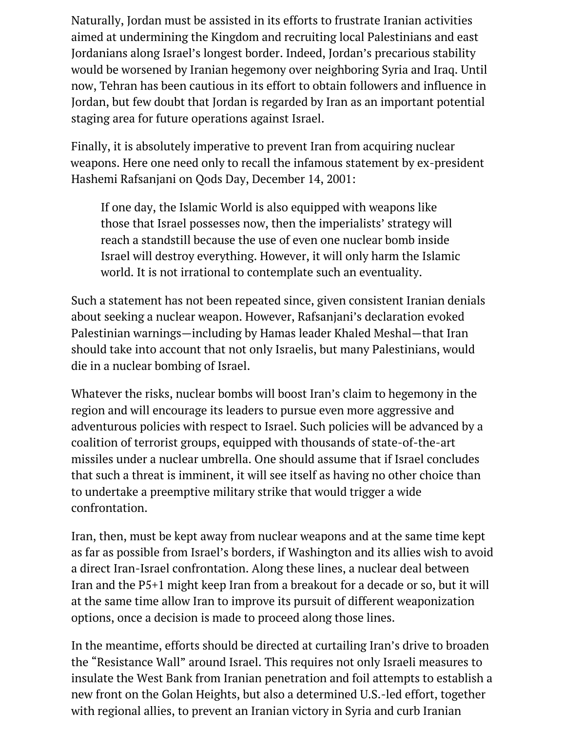Naturally, Jordan must be assisted in its efforts to frustrate Iranian activities aimed at undermining the Kingdom and recruiting local Palestinians and east Jordanians along Israel's longest border. Indeed, Jordan's precarious stability would be worsened by Iranian hegemony over neighboring Syria and Iraq. Until now, Tehran has been cautious in its effort to obtain followers and influence in Jordan, but few doubt that Jordan is regarded by Iran as an important potential staging area for future operations against Israel.

Finally, it is absolutely imperative to prevent Iran from acquiring nuclear Hashemi Rafsanjani on Qods Day, December 14, 2001: weapons. Here one need only to recall the infamous statement by ex-president

If one day, the Islamic World is also equipped with weapons like those that Israel possesses now, then the imperialists' strategy will reach a standstill because the use of even one nuclear bomb inside Israel will destroy everything. However, it will only harm the Islamic world. It is not irrational to contemplate such an eventuality.

Such a statement has not been repeated since, given consistent Iranian denials about seeking a nuclear weapon. However, Rafsanjani's declaration evoked Palestinian warnings—including by Hamas leader Khaled Meshal—that Iran should take into account that not only Israelis, but many Palestinians, would die in a nuclear bombing of Israel.

Whatever the risks, nuclear bombs will boost Iran's claim to hegemony in the region and will encourage its leaders to pursue even more aggressive and adventurous policies with respect to Israel. Such policies will be advanced by a coalition of terrorist groups, equipped with thousands of state-of-the-art missiles under a nuclear umbrella. One should assume that if Israel concludes that such a threat is imminent, it will see itself as having no other choice than to undertake a preemptive military strike that would trigger a wide confrontation.

Iran, then, must be kept away from nuclear weapons and at the same time kept as far as possible from Israel's borders, if Washington and its allies wish to avoid a direct Iran-Israel confrontation. Along these lines, a nuclear deal between Iran and the P5+1 might keep Iran from a breakout for a decade or so, but it will at the same time allow Iran to improve its pursuit of different weaponization options, once a decision is made to proceed along those lines.

In the meantime, efforts should be directed at curtailing Iran's drive to broaden the "Resistance Wall" around Israel. This requires not only Israeli measures to insulate the West Bank from Iranian penetration and foil attempts to establish a new front on the Golan Heights, but also a determined U.S.-led effort, together with regional allies, to prevent an Iranian victory in Syria and curb Iranian